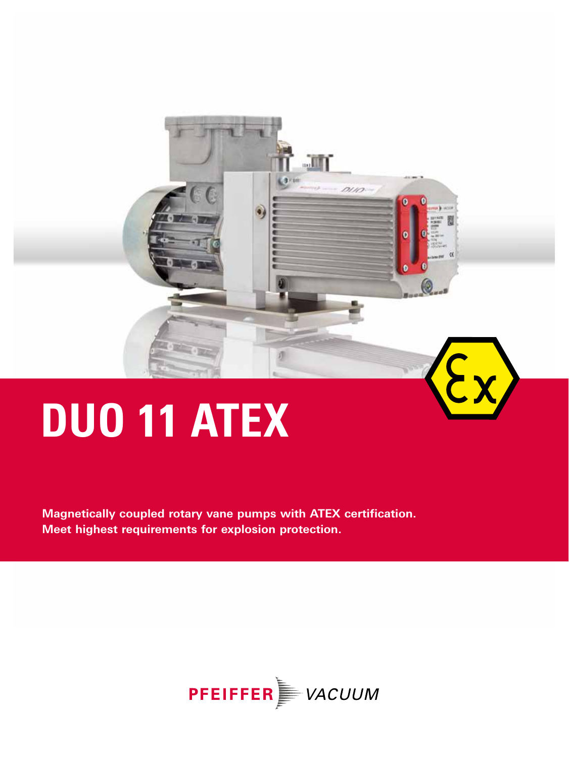

# **DUO 11 ATEX**

**Magnetically coupled rotary vane pumps with ATEX certification. Meet highest requirements for explosion protection.** 

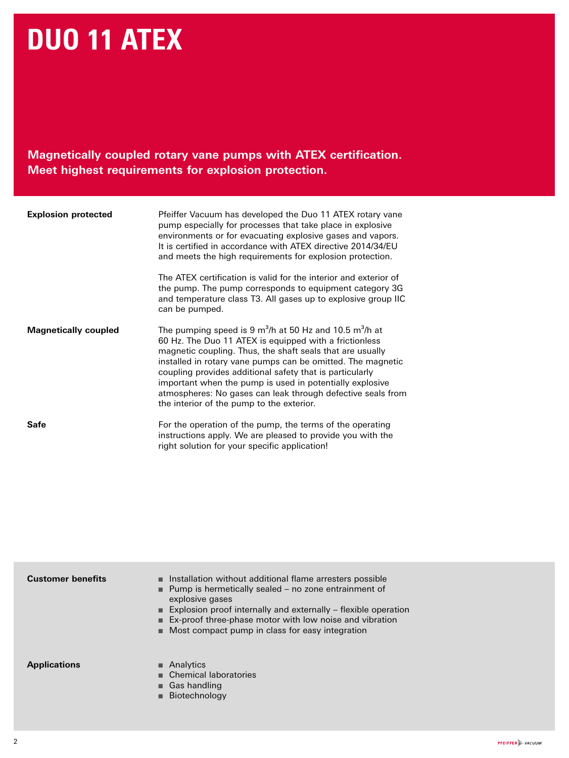# **DUO 11 ATEX**

**Magnetically coupled rotary vane pumps with ATEX certification. Meet highest requirements for explosion protection.** 

| <b>Explosion protected</b>  | Pfeiffer Vacuum has developed the Duo 11 ATEX rotary vane<br>pump especially for processes that take place in explosive<br>environments or for evacuating explosive gases and vapors.<br>It is certified in accordance with ATEX directive 2014/34/EU<br>and meets the high requirements for explosion protection.                                                                                                                                                                    |
|-----------------------------|---------------------------------------------------------------------------------------------------------------------------------------------------------------------------------------------------------------------------------------------------------------------------------------------------------------------------------------------------------------------------------------------------------------------------------------------------------------------------------------|
|                             | The ATEX certification is valid for the interior and exterior of<br>the pump. The pump corresponds to equipment category 3G<br>and temperature class T3. All gases up to explosive group IIC<br>can be pumped.                                                                                                                                                                                                                                                                        |
| <b>Magnetically coupled</b> | The pumping speed is 9 $m^3/h$ at 50 Hz and 10.5 $m^3/h$ at<br>60 Hz. The Duo 11 ATEX is equipped with a frictionless<br>magnetic coupling. Thus, the shaft seals that are usually<br>installed in rotary vane pumps can be omitted. The magnetic<br>coupling provides additional safety that is particularly<br>important when the pump is used in potentially explosive<br>atmospheres: No gases can leak through defective seals from<br>the interior of the pump to the exterior. |
| Safe                        | For the operation of the pump, the terms of the operating<br>instructions apply. We are pleased to provide you with the<br>right solution for your specific application!                                                                                                                                                                                                                                                                                                              |

| <b>Customer benefits</b> | ■ Installation without additional flame arresters possible<br>■ Pump is hermetically sealed – no zone entrainment of<br>explosive gases<br><b>Explosion proof internally and externally – flexible operation</b><br>■ Ex-proof three-phase motor with low noise and vibration<br>■ Most compact pump in class for easy integration |
|--------------------------|------------------------------------------------------------------------------------------------------------------------------------------------------------------------------------------------------------------------------------------------------------------------------------------------------------------------------------|
| <b>Applications</b>      | $\blacksquare$ Analytics<br>Chemical laboratories<br><b>Gas handling</b><br>$\blacksquare$ Biotechnology                                                                                                                                                                                                                           |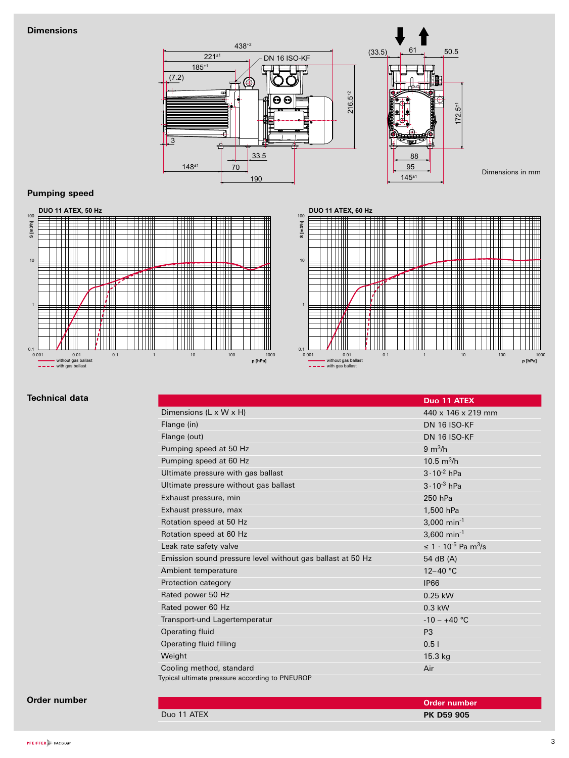#### **Dimensions**



#### **Pumping speed**





#### **Technical data**

|                                                            | Duo 11 ATEX                                 |
|------------------------------------------------------------|---------------------------------------------|
| Dimensions (L x W x H)                                     | 440 x 146 x 219 mm                          |
| Flange (in)                                                | <b>DN 16 ISO-KF</b>                         |
| Flange (out)                                               | <b>DN 16 ISO-KF</b>                         |
| Pumping speed at 50 Hz                                     | $9 \text{ m}^3/h$                           |
| Pumping speed at 60 Hz                                     | 10.5 $m^3/h$                                |
| Ultimate pressure with gas ballast                         | $3 \cdot 10^{-2}$ hPa                       |
| Ultimate pressure without gas ballast                      | $3 \cdot 10^{-3}$ hPa                       |
| Exhaust pressure, min                                      | 250 hPa                                     |
| Exhaust pressure, max                                      | 1,500 hPa                                   |
| Rotation speed at 50 Hz                                    | 3,000 min <sup>-1</sup>                     |
| Rotation speed at 60 Hz                                    | 3,600 min <sup>-1</sup>                     |
| Leak rate safety valve                                     | $\leq 1 \cdot 10^{-5}$ Pa m <sup>3</sup> /s |
| Emission sound pressure level without gas ballast at 50 Hz | 54 dB (A)                                   |
| Ambient temperature                                        | $12 - 40$ °C                                |
| Protection category                                        | <b>IP66</b>                                 |
| Rated power 50 Hz                                          | 0.25 kW                                     |
| Rated power 60 Hz                                          | $0.3$ kW                                    |
| Transport-und Lagertemperatur                              | $-10 - +40$ °C                              |
| Operating fluid                                            | P <sub>3</sub>                              |
| Operating fluid filling                                    | 0.51                                        |
| Weight                                                     | $15.3$ kg                                   |
| Cooling method, standard                                   | Air                                         |
| Typical ultimate pressure according to PNEUROP             |                                             |

#### **Order number**

|             | Order number      |
|-------------|-------------------|
| Duo 11 ATEX | <b>PK D59 905</b> |
|             |                   |